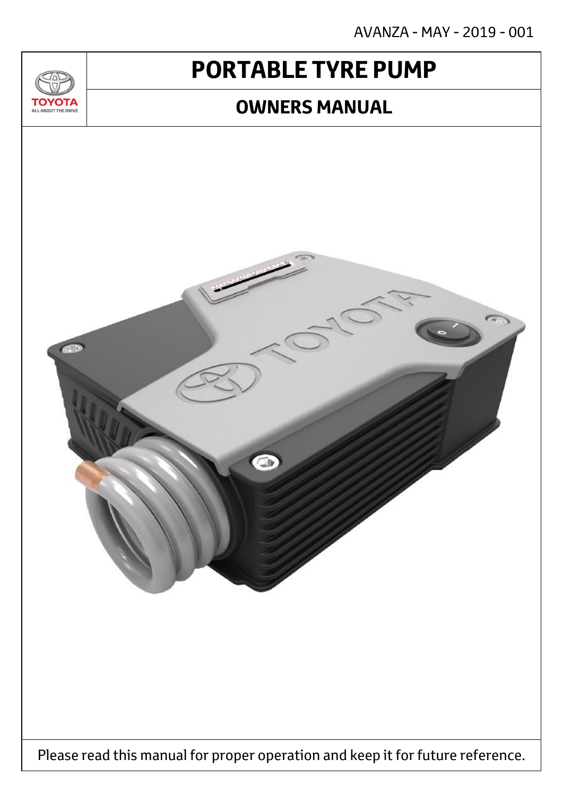AVANZA - MAY - 2019 - 001

# **PORTABLE TYRE PUMP**

<u>JU/</u>

**TOYOTA** ALL ABOUT THE DRIVE

### **OWNERS MANUAL**

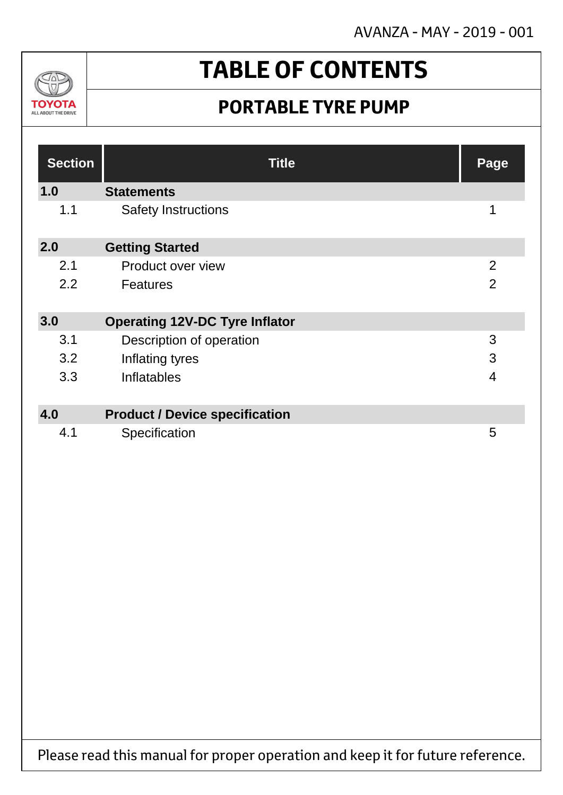AVANZA - MAY - 2019 - 001



# **TABLE OF CONTENTS**

### **PORTABLE TYRE PUMP**

| <b>Section</b> | <b>Title</b>                          | Page           |
|----------------|---------------------------------------|----------------|
| 1.0            | <b>Statements</b>                     |                |
| 1.1            | <b>Safety Instructions</b>            | 1              |
| 2.0            | <b>Getting Started</b>                |                |
| 2.1            | Product over view                     | $\overline{2}$ |
| 2.2            | <b>Features</b>                       | $\overline{2}$ |
| 3.0            | <b>Operating 12V-DC Tyre Inflator</b> |                |
| 3.1            | Description of operation              | 3              |
| 3.2            | Inflating tyres                       | 3              |
| 3.3            | Inflatables                           | $\overline{4}$ |
| 4.0            | <b>Product / Device specification</b> |                |
| 4.1            | Specification                         | 5              |

Please read this manual for proper operation and keep it for future reference.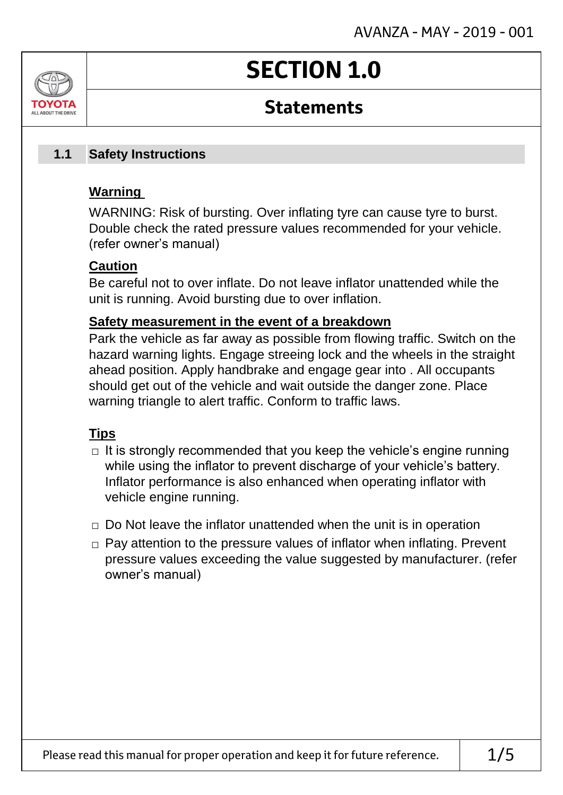# **SECTION 1.0**

### **Statements**

#### **Safety Instructions 1.1**

#### **Warning**

ALL AROUT THE DRIV

WARNING: Risk of bursting. Over inflating tyre can cause tyre to burst. Double check the rated pressure values recommended for your vehicle. (refer owner's manual)

#### **Caution**

Be careful not to over inflate. Do not leave inflator unattended while the unit is running. Avoid bursting due to over inflation.

#### **Safety measurement in the event of a breakdown**

Park the vehicle as far away as possible from flowing traffic. Switch on the hazard warning lights. Engage streeing lock and the wheels in the straight ahead position. Apply handbrake and engage gear into . All occupants should get out of the vehicle and wait outside the danger zone. Place warning triangle to alert traffic. Conform to traffic laws.

#### **Tips**

- $\Box$  It is strongly recommended that you keep the vehicle's engine running while using the inflator to prevent discharge of your vehicle's battery. Inflator performance is also enhanced when operating inflator with vehicle engine running.
- $\Box$  Do Not leave the inflator unattended when the unit is in operation
- □ Pay attention to the pressure values of inflator when inflating. Prevent pressure values exceeding the value suggested by manufacturer. (refer owner's manual)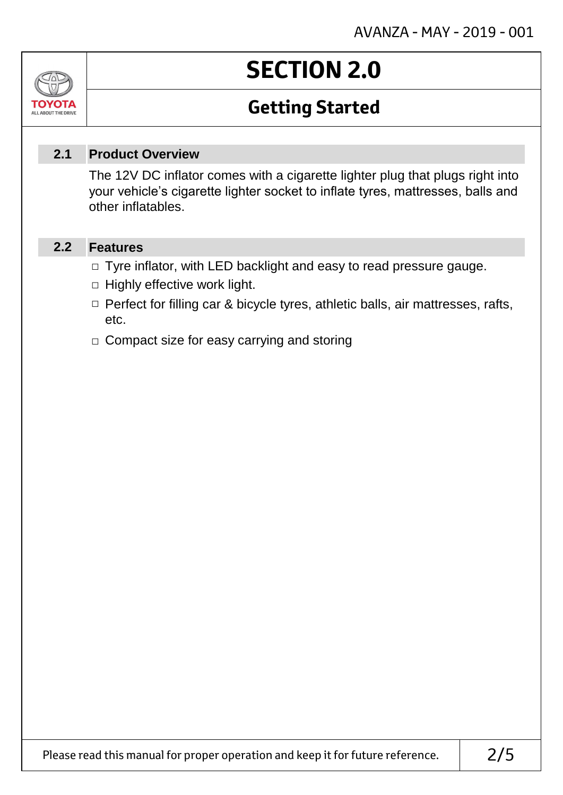# **SECTION 2.0**

### **Getting Started**

#### **Product Overview 2.1**

The 12V DC inflator comes with a cigarette lighter plug that plugs right into your vehicle's cigarette lighter socket to inflate tyres, mattresses, balls and other inflatables.

#### **Features 2.2**

Jn

TOVOIL ALL ABOUT THE DRIVE

- □ Tyre inflator, with LED backlight and easy to read pressure gauge.
- $\Box$  Highly effective work light.
- □ Perfect for filling car & bicycle tyres, athletic balls, air mattresses, rafts, etc.
- □ Compact size for easy carrying and storing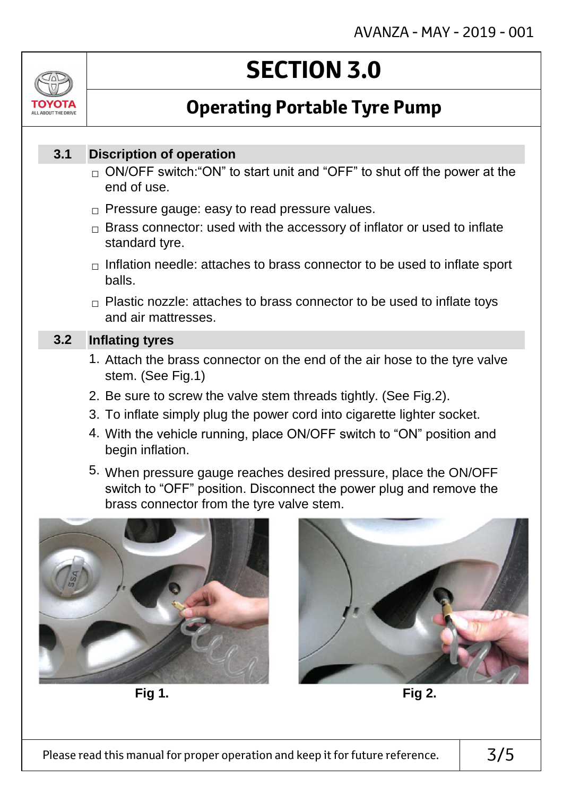# ALL AROUT THE DRIV

# **SECTION 3.0**

### **Operating Portable Tyre Pump**

#### **Discription of operation 3.1**

- $_\square$  ON/OFF switch:"ON" to start unit and "OFF" to shut off the power at the end of use.
- $\Box$  Pressure gauge: easy to read pressure values.
- $\Box$  Brass connector: used with the accessory of inflator or used to inflate standard tyre.
- $\Box$  Inflation needle: attaches to brass connector to be used to inflate sport balls.
- $\Box$  Plastic nozzle: attaches to brass connector to be used to inflate toys and air mattresses.

#### **Inflating tyres 3.2**

- 1. Attach the brass connector on the end of the air hose to the tyre valve stem. (See Fig.1)
- 2. Be sure to screw the valve stem threads tightly. (See Fig.2).
- 3. To inflate simply plug the power cord into cigarette lighter socket.
- 4. With the vehicle running, place ON/OFF switch to "ON" position and begin inflation.
- 5. When pressure gauge reaches desired pressure, place the ON/OFF switch to "OFF" position. Disconnect the power plug and remove the brass connector from the tyre valve stem.



**Fig 1. Fig 2.**

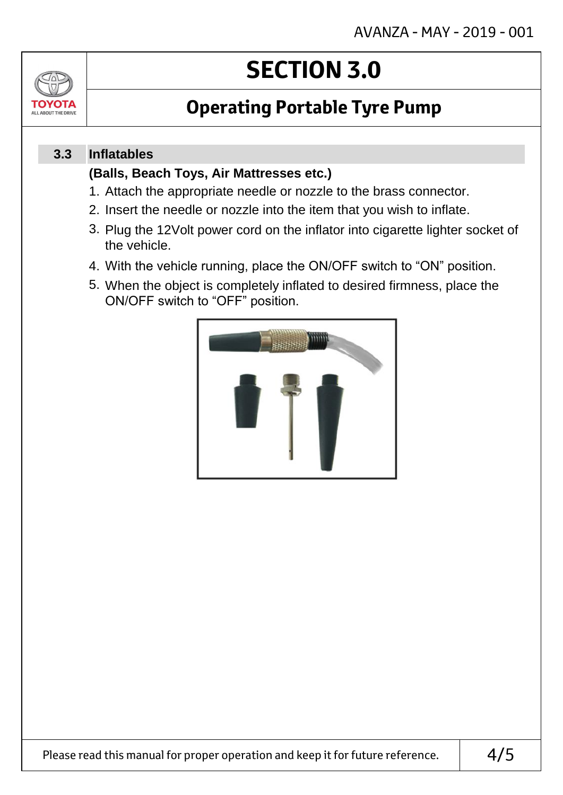

# **SECTION 3.0**

### **Operating Portable Tyre Pump**

#### **Inflatables 3.3**

#### **(Balls, Beach Toys, Air Mattresses etc.)**

- 1. Attach the appropriate needle or nozzle to the brass connector.
- 2. Insert the needle or nozzle into the item that you wish to inflate.
- 3. Plug the 12Volt power cord on the inflator into cigarette lighter socket of the vehicle.
- 4. With the vehicle running, place the ON/OFF switch to "ON" position.
- 5. When the object is completely inflated to desired firmness, place the ON/OFF switch to "OFF" position.